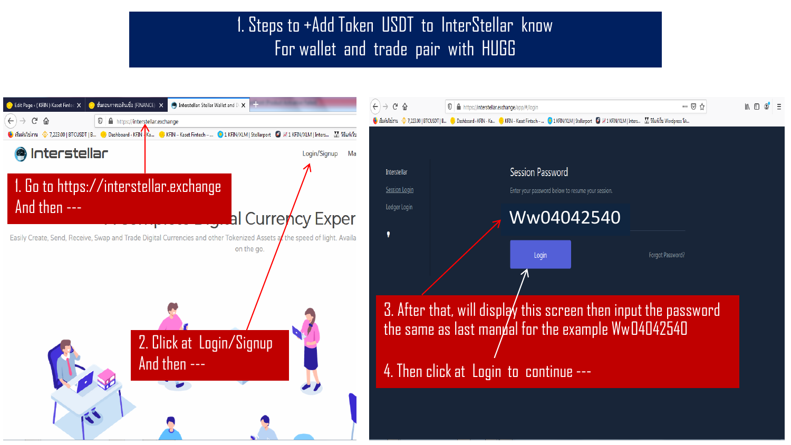## 1. Steps to +Add Token USDT to InterStellar know For wallet and trade pair with HUGG

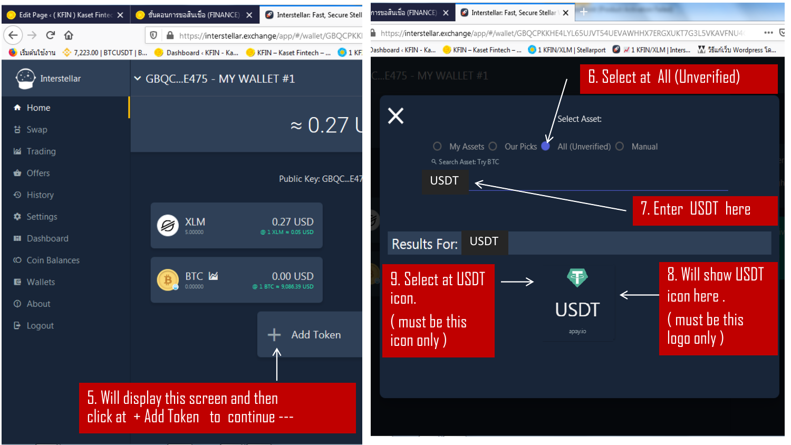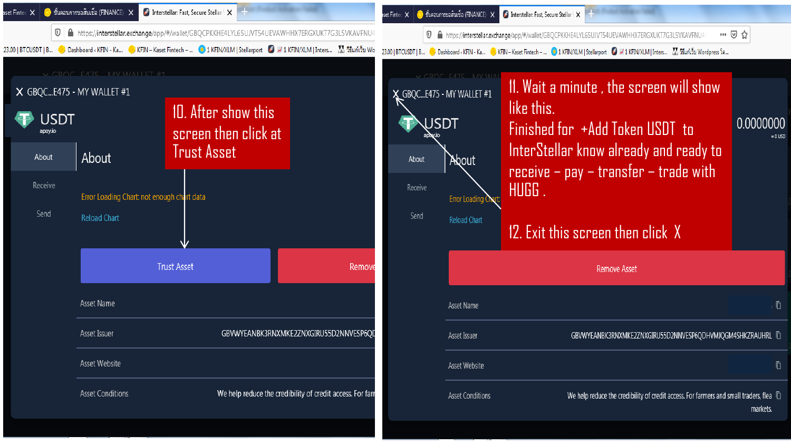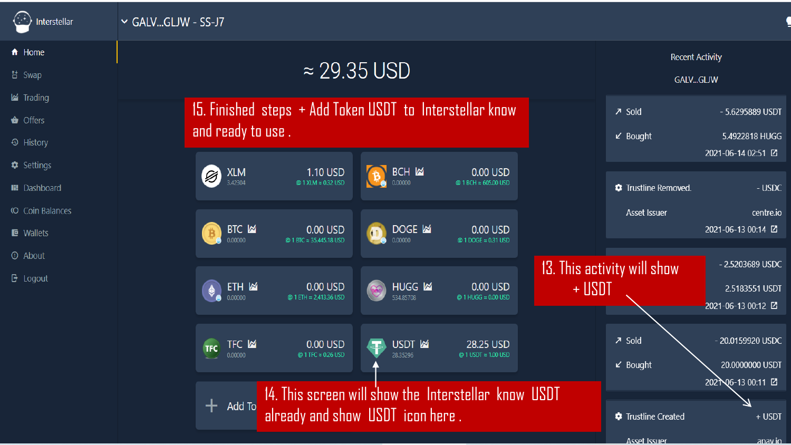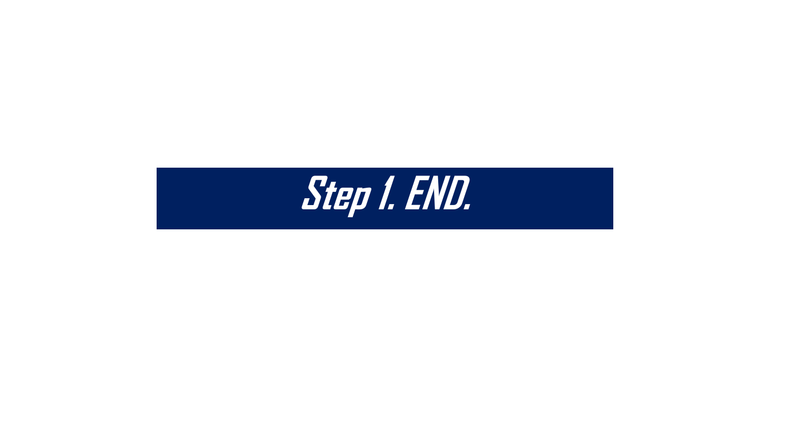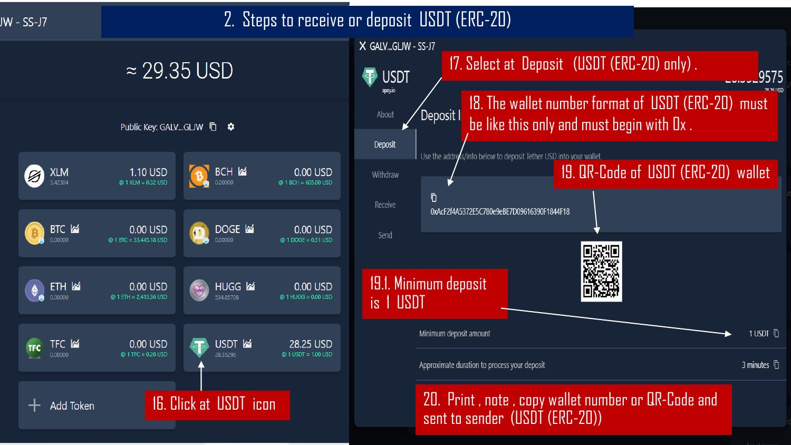|  |  |  | JW - SS-J7 |  |
|--|--|--|------------|--|
|--|--|--|------------|--|

## 2. Steps to receive or deposit USDT (ERC-20)

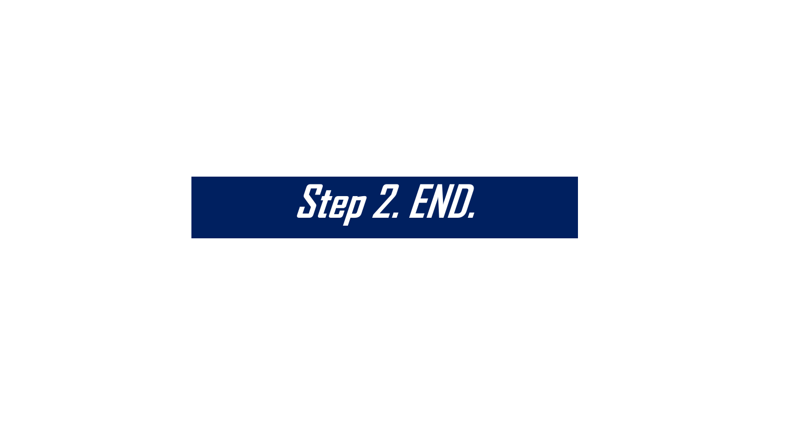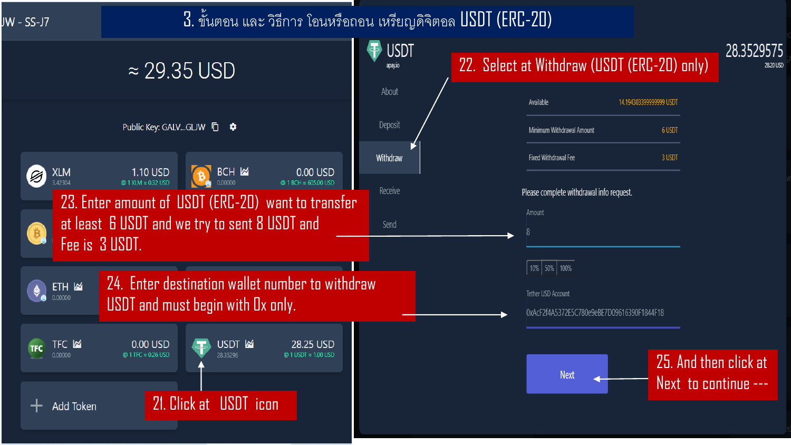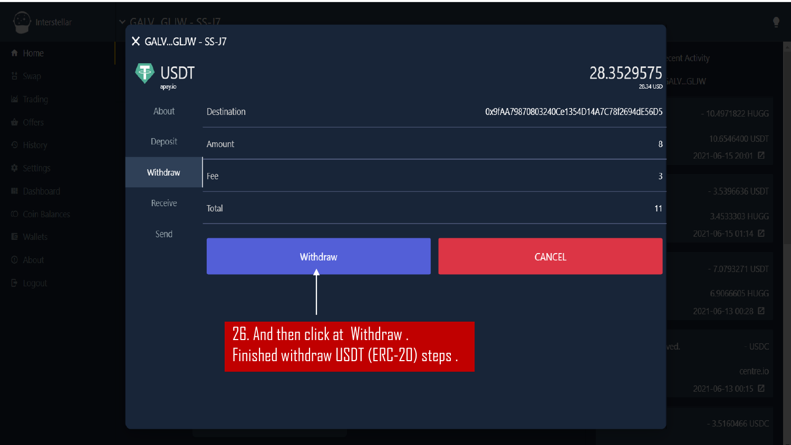